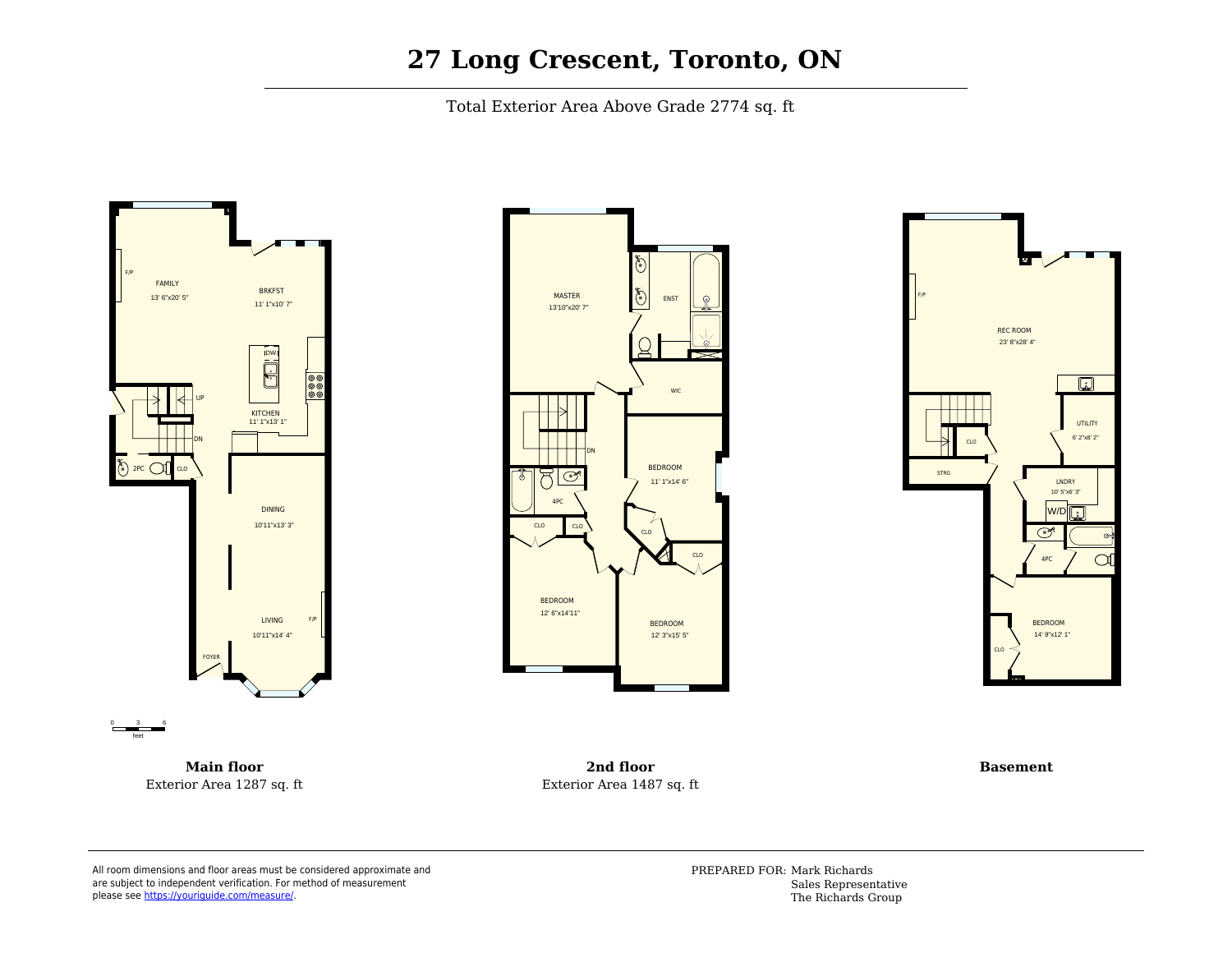## **27 Long Crescent, Toronto, ON**

Total Exterior Area Above Grade 2774 sq. ft



**Main floor** Exterior Area 1287 sq. ft





**2nd floor** Exterior Area 1487 sq. ft

**Basement**

All room dimensions and floor areas must be considered approximate and are subject to independent verification. For method of measurement please see [https://youriguide.com/measure/.](https://youriguide.com/measure/)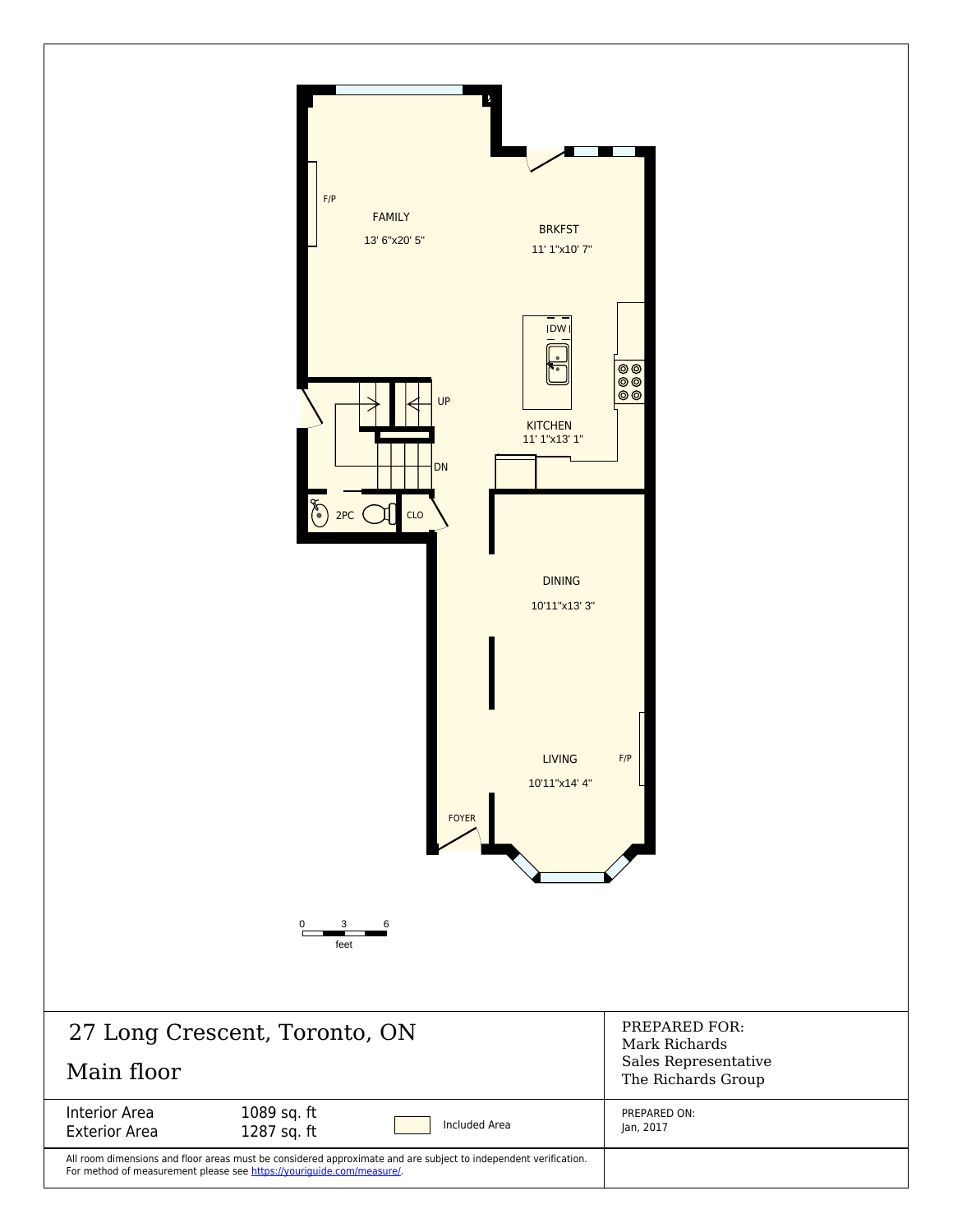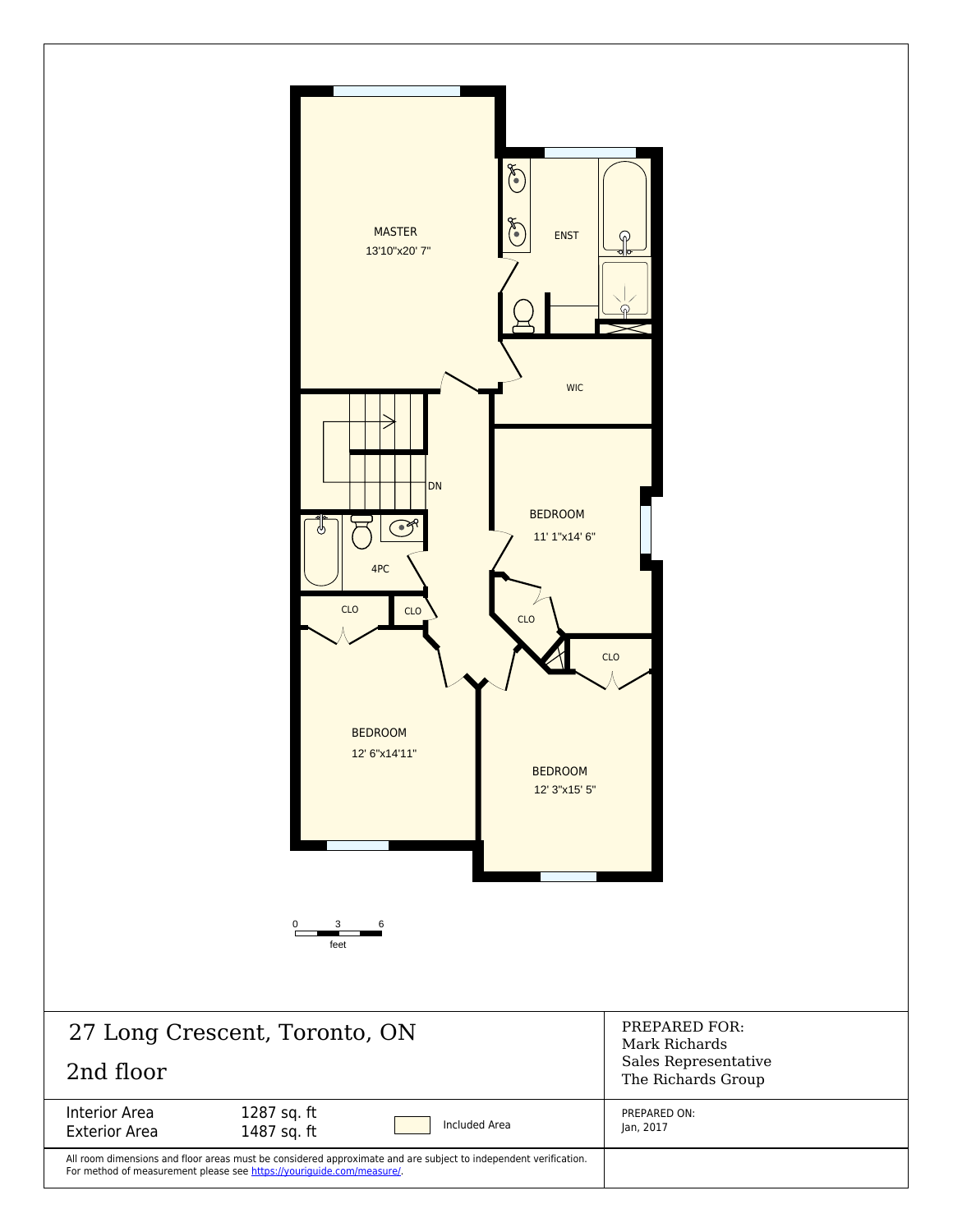